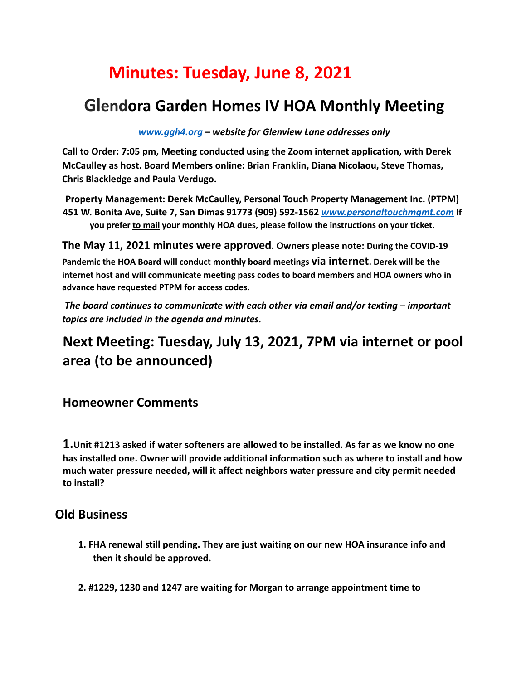# **Minutes: Tuesday, June 8, 2021**

## **Glendora Garden Homes IV HOA Monthly Meeting**

*www.ggh4.org – website for Glenview Lane addresses only*

**Call to Order: 7:05 pm, Meeting conducted using the Zoom internet application, with Derek McCaulley as host. Board Members online: Brian Franklin, Diana Nicolaou, Steve Thomas, Chris Blackledge and Paula Verdugo.**

**Property Management: Derek McCaulley, Personal Touch Property Management Inc. (PTPM) 451 W. Bonita Ave, Suite 7, San Dimas 91773 (909) 592-1562** *www.personaltouchmgmt.com* **If you prefer to mail your monthly HOA dues, please follow the instructions on your ticket.**

**The May 11, 2021 minutes were approved. Owners please note: During the COVID-19**

**Pandemic the HOA Board will conduct monthly board meetings via internet. Derek will be the internet host and will communicate meeting pass codes to board members and HOA owners who in advance have requested PTPM for access codes.**

*The board continues to communicate with each other via email and/or texting – important topics are included in the agenda and minutes.*

### **Next Meeting: Tuesday, July 13, 2021, 7PM via internet or pool area (to be announced)**

**Homeowner Comments**

**1.Unit #1213 asked if water softeners are allowed to be installed. As far as we know no one has installed one. Owner will provide additional information such as where to install and how much water pressure needed, will it affect neighbors water pressure and city permit needed to install?**

### **Old Business**

- **1. FHA renewal still pending. They are just waiting on our new HOA insurance info and then it should be approved.**
- **2. #1229, 1230 and 1247 are waiting for Morgan to arrange appointment time to**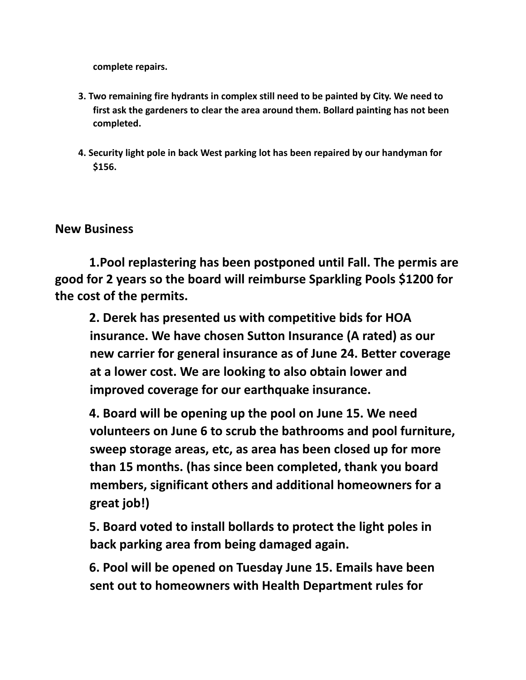**complete repairs.**

- **3. Two remaining fire hydrants in complex still need to be painted by City. We need to first ask the gardeners to clear the area around them. Bollard painting has not been completed.**
- **4. Security light pole in back West parking lot has been repaired by our handyman for \$156.**

#### **New Business**

**1.Pool replastering has been postponed until Fall. The permis are good for 2 years so the board will reimburse Sparkling Pools \$1200 for the cost of the permits.**

**2. Derek has presented us with competitive bids for HOA insurance. We have chosen Sutton Insurance (A rated) as our new carrier for general insurance as of June 24. Better coverage at a lower cost. We are looking to also obtain lower and improved coverage for our earthquake insurance.**

**4. Board will be opening up the pool on June 15. We need volunteers on June 6 to scrub the bathrooms and pool furniture, sweep storage areas, etc, as area has been closed up for more than 15 months. (has since been completed, thank you board members, significant others and additional homeowners for a great job!)**

**5. Board voted to install bollards to protect the light poles in back parking area from being damaged again.**

**6. Pool will be opened on Tuesday June 15. Emails have been sent out to homeowners with Health Department rules for**